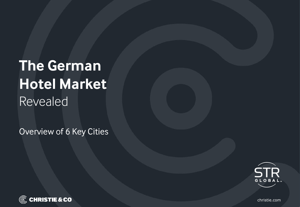# **The German Hotel Market** Revealed

Overview of 6 Key Cities





christie.com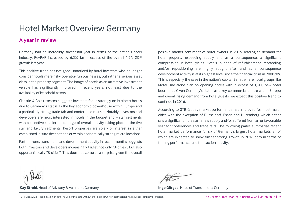## Hotel Market Overview Germany

### **A year in review**

Germany had an incredibly successful year in terms of the nation's hotel industry. RevPAR increased by 6.5%, far in excess of the overall 1.7% GDP growth last year.

This positive trend has not gone unnoticed by hotel investors who no longer consider hotels mere risky operator-run businesses, but rather a serious asset class in the property segment. The image of hotels as an attractive investment vehicle has significantly improved in recent years, not least due to the availability of leasehold assets.

Christie & Co's research suggests investors focus strongly on business hotels due to Germany's status as the key economic powerhouse within Europe and a particularly strong trade fair and conference market. Notably, investors and developers are most interested in hotels in the budget and 4 star segments with a selective smaller percentage of overall activity taking place in the five star and luxury segments. Resort properties are solely of interest in either established leisure destinations or within economically strong micro locations.

Furthermore, transaction and development activity in recent months suggests both investors and developers increasingly target not only "A-cities", but also opportunistically "B-cities". This does not come as a surprise given the overall

positive market sentiment of hotel owners in 2015, leading to demand for hotel property exceeding supply and as a consequence, a significant compression in hotel yields. Hotels in need of refurbishment, rebranding and/or repositioning are highly sought after and as a consequence development activity is at its highest level since the financial crisis in 2008/09. This is especially the case in the nation's capital Berlin, where hotel groups like Motel One alone plan on opening hotels with in excess of 1,200 new hotel bedrooms. Given Germany's status as a key commercial centre within Europe and overall rising demand from hotel guests, we expect this positive trend to continue in 2016.

According to STR Global, market performance has improved for most major cities with the exception of Dusseldorf, Essen and Nuremberg which either saw a significant increase in new supply and/or suffered from an unfavourable year for conferences and trade fairs. The following pages summarise recent hotel market performance for six of Germany's largest hotel markets, all of which are expected to show further strong growth in 2016 both in terms of trading performance and transaction activity.

**Kay Strobl**, Head of Advisory & Valuation Germany **Ingo Gürges**, Head of Transactions Germany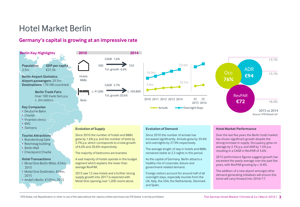# Hotel Market Berlin

**Tourist Attractions** • Brandenburg Gate • Reichstag building • Berlin Wall • Checkpoint Charlie **Hotel Transactions**

2015

2015

• Motel One Berlin Mitte, €34m,

• Motel One Dreilinden, €49m,

• Andel's Berlin, €105m, 2015

### **Germany's capital is growing at an impressive rate**



#### **Evolution of Supply**

Since 2010 the number of hotels and B&Bs grew by 1.6% p.a. and the number of beds by 3.7% p.a. which corresponds to a total growth of 6.6% and 20.6% respectively.

The majority of bedrooms are branded.

A vast majority of hotels operate in the budget segment which explains the lower than average RevPAR.

2015 saw 12 new hotels and a further strong supply growth into 2017 is expected with Motel One opening over 1,200 rooms alone.

#### **Evolution of Demand**

Since 2010 the number of arrivals has increased significantly. Arrivals grew by 39.6% and overnights by 27.9% respectively.

The average length of stay in hotels and B&Bs remained stable at 2.3 nights in this period.

As the capital of Germany, Berlin attracts a healthy mix of corporate, leisure and government-related demand.

Foreign visitors account for around half of all overnight stays, especially tourists from the UK, Italy, the USA, the Netherlands, Denmark and Spain.

#### **Hotel Market Performance**

Over the last five years the Berlin hotel market has shown significant growth despite the strong increase in supply. Occupancy grew on average by 2.1% p.a. and ADR by 1.5% p.a. resulting in a CAGR in RevPAR of 3.6% .

2015 performance figures suggest growth has exceeded the yearly average over the past five years, with RevPAR growing by c. 8.4%.

The addition of a new airport amongst other demand generating initiatives will ensure this trend will carry forward into 2016/17.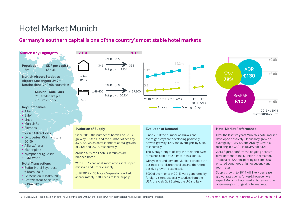# Hotel Market Munich

### **Germany's southern capital is one of the country's most stable hotel markets**

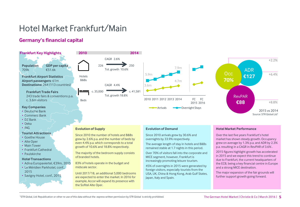# Hotel Market Frankfurt/Main

### **Germany's financial capital**

#### **Frankfurt Key Highlights Population** 709k **GDP per capita** €51.6k **Frankfurt Airport Statistics Airport passengers**: 61m **Destinations:** 264 (113 countries) **Frankfurt Trade Fairs** 243 trade fairs & conventions p.a. c. 3.6m visitors **Key Companies** • Deutsche Bank • Commerz Bank • DZ Bank Hotels B&Bs Beds

- Deka
- ING

#### **Tourist Attractions**

- Goethe House
- Alte Oper
- Main Tower
- Frankfurt Cathedral
- Paulskirche

#### **Hotel Transactions**

- Adina Europaviertel, €39m, 2015
- Le Méridien Parkhotel, conf., 2015
- Savigny Hotel, conf., 2015





#### **Evolution of Supply**

Since 2010 the number of hotels and B&Bs grew by 2.6% p.a. and the number of beds by even 4.4% p.a. which corresponds to a total growth of 10.6% and 18.8% respectively.

The majority of the bedroom supply consists of branded hotels.

83% of hotels operate in the budget and midscale sector.

Until 2017/18, an additional 5,000 bedrooms are expected to enter the market. In 2016 for example, Accor will expand its presence with the Sofitel Alte Oper.

#### **Evolution of Demand**

Since 2010 arrivals grew by 30.6% and overnights by 33.9% respectively.

The average length of stay in hotels and B&Bs remained stable at 1.7 nights in this period.

2015 2016 FC

Over 70% of visitors fall into the corporate and MICE segment, however, Frankfurt is increasingly promoting leisure tourism.

45% of overnights in 2015 were generated by foreign visitors, especially tourists from the USA, UK, China & Hong Kong, Arab Gulf States, Japan, Italy and Spain.

#### **Hotel Market Performance**

Over the last five years Frankfurt's hotel market has shown steady growth. Occupancy grew on average by 1.3% p.a. and ADR by 2.3% p.a. resulting in a CAGR in RevPAR of 3.6% .

2015 figures highlight growth has accelerated in 2015 and we expect this trend to continue due to Frankfurt, the current headquarters of the ECB, being a key financial centre in Europe and a strong MICE destination.

The major expansion of the fair grounds will further support growth going forward.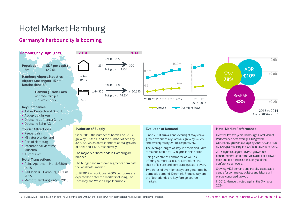# Hotel Market Hamburg

### **Germany's harbour city is booming**



• Deutsche Bahn AG

#### **Tourist Attractions**

- Reeperbahn
- Miniatur Wunderland
- Port of Hamburg
- International Maritime Museum
- Alster Lakes

#### **Hotel Transactions**

- Adina Apartment Hotel, €50m, 2015
- Radisson Blu Hamburg, €150m, 2015



#### **Evolution of Supply**

Since 2010 the number of hotels and B&Bs grew by 0.5% p.a. and the number of beds by 3.4% p.a. which corresponds to a total growth of 3.4% and 14.3% respectively.

The majority of hotel beds in Hamburg are branded.

The budget and midscale segments dominate the local hotel market.

Until 2017 an additional 4,000 bedrooms are expected to enter the market including The Fontaney and Westin Elbphilharmonie.

#### **Evolution of Demand**

Since 2010 arrivals and overnight stays have grown exponentially. Arrivals grew by 26.7% and overnights by 24.4% respectively.

The average length of stay in hotels and B&Bs remained stable at 1.9 nights in this period.

Being a centre of commerce as well as offering numerous leisure attractions, the share of leisure and corporate guests is even.

Two thirds of overnight stays are generated by domestic demand. Denmark, France, Italy and the Netherlands are key foreign source markets.

#### **Hotel Market Performance**

Over the last five years Hamburg's Hotel Market Performance beat average GDP growth. Occupancy grew on average by 2.0% p.a. and ADR by 1.6% p.a. resulting in a CAGR in RevPAR of 3.6% .

2015 figures suggest RevPAR growth has continued throughout the year, albeit at a slower pace due to an increase in supply and the conference schedule.

Growing MICE demand and the city's status as a centre for commerce, logistics and leisure will ensure continued growth.

In 2015, Hamburg voted against the Olympics 2024.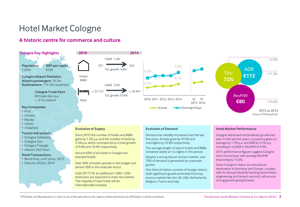# Hotel Market Cologne

### **A historic centre for commerce and culture**



guests.

70% of demand is generated by corporate

Belgium, France and Italy.

One third of visitors consists of foreign visitors (with significant growth potential) from key source markets like the UK, USA, Netherlands,

- Motel One, conf. price, 2015
- Park Inn, €53m, 2014

#### <sup>1</sup>STR Global, Ltd: Republication or other re-use of this data without the express written permission by STR Global is strictly prohibited. The German Hotel Market | Christie & Co | March 2016 | **7**

Over 50% of hotels operate in the budget and

almost 30% in the midscale sector. Until 2017/18, an additional 1,000-1,200 bedrooms are expected to enter the market.

The majority of new hotels will be internationally branded.

Given Cologne's status as a key leisure destination in Germany and Europe, coupled with its strong industrial backing (automotive, engineering and biotech sectors), will ensure

strong growth going forward.

improving by 15.6%.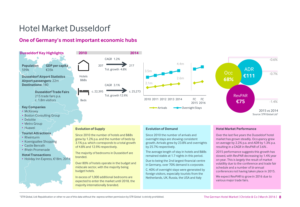# Hotel Market Dusseldorf

**Tourist Attractions** • Rheinturm

• Koenigsallee Shopping • Castle Benrath • Rhein Promenade **Hotel Transactions**

• Holiday Inn Express, €18m, 2014

### **One of Germany's most important economic hubs**



#### **Evolution of Supply**

Since 2010 the number of hotels and B&Bs grew by 1.2% p.a. and the number of beds by 3.1% p.a. which corresponds to a total growth of 4.8% and 12.9% respectively.

The majority of bedrooms in Dusseldorf are branded.

Over 80% of hotels operate in the budget and midscale sector, with the majority being budget hotels.

In excess of 1,000 additional bedrooms are expected to enter the market until 2018, the majority internationally branded.

#### **Evolution of Demand**

Since 2010 the number of arrivals and overnight stays are showing consistent growth. Arrivals grew by 23.8% and overnights by 25.7% respectively.

The average length of stay in hotels and B&Bs remained stable at 1.7 nights in this period.

Due to being the 2nd largest financial centre in Germany, over 70% demand is corporate.

C. 40% of overnight stays were generated by foreign visitors, especially tourists from the Netherlands, UK, Russia, the USA and Italy

#### **Hotel Market Performance**

Over the last five years the Dusseldorf hotel market has grown steadily. Occupancy grew on average by 2.2% p.a. and ADR by 1.3% p.a. resulting in a CAGR in RevPAR of 3.6% .

2015 performance suggests this growth has slowed, with RevPAR decreasing by 1.4% year on year. This is largely the result of market volatility due to the conference and trade fair schedule and a number of bi-annual conferences not having taken place in 2015.

We expect RevPAR to grow in 2016 due to various major trade fairs.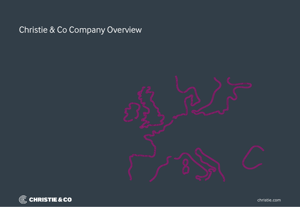# Christie & Co Company Overview



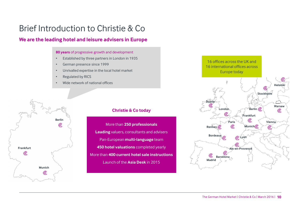# Brief Introduction to Christie & Co

### **We are the leading hotel and leisure advisers in Europe**

#### **80 years** of progressive growth and development

- Established by three partners in London in 1935
- German presence since 1999
- Unrivalled expertise in the local hotel market
- Regulated by RICS
- Wide network of national offices



### **Christie & Co today**

More than **250 professionals Leading** valuers, consultants and advisers Pan-European **multi-language** team **450 hotel valuations** completed yearly More than **400 current hotel sale instructions** Launch of the **Asia Desk** in 2015

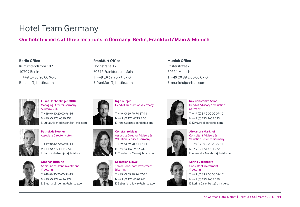# Hotel Team Germany

### **Ourhotelexperts at three locations in Germany: Berlin, Frankfurt/Main & Munich**

#### **Berlin Office**

Kurfürstendamm 182 10707 Berlin T +49 (0) 30 20 00 96-0 E berlin@christie.com



**Lukas Hochedlinger MRICS** Managing Director Germany, Austria & CEE T +49 (0) 30 20 00 96-16 M +49 (0) 173 6510 352 E Lukas.Hochedlinger@christie.com



**Patrick de Nooijer** Associate Director Hotels

T +49 (0) 30 20 00 96-14 M +44 (0) 7791 184273 E Patrick.de-Nooijer@christie..com



**Stephan Brüning** Senior Consultant Investment & Letting T +49 (0) 30 20 00 96-15 M +49 (0) 172 6426 279 E Stephan.Bruening@christie.com

**Frankfurt Office** Hochstraße 17 60313 Frankfurt am Main T +49 (0) 69 90 74 57-0 E frankfurt@christie.com





Head of Transactions Germany T +49 (0) 69 90 74 57-14

M +49 (0) 173 6713 3 05 E Ingo.Guerges@christie.com



**Constanze Maas** Associate Director Advisory & Valuation Services Germany T +49 (0) 69 90 74 57-11 M +49 (0) 162 2442 733 E Constanze.Maas@christie.com



**Sebastian Nowak** Senior Consultant Investment & Letting T +49 (0) 69 90 74 57-15 M +49 (0) 172 6520 261 E Sebastian.Nowak@christie.com



**Munich Office** Pfisterstraße 6 80331 Munich

T +49 (0) 89 2 00 00 07-0 E munich@christie.com

**Kay Constanze Strobl** Head of Advisory & Valuation Germany T +49 (0) 89 2 00 00 07-12 M +49 (0) 173 9658 093 E Kay.Strobl@christie.com

**Alexandra Markhof** Consultant Advisory & Valuation Services Germany

T +49 (0) 89 2 00 00 07-18 M +49 (0) 173 6731 272





**Lorina Callenberg** Consultant Investment & Letting T +49 (0) 89 2 00 00 07-17 M +49 (0) 173 9658 089 E Lorina.Callenberg@christie.com

E Alexandra.Markhof@christie.com